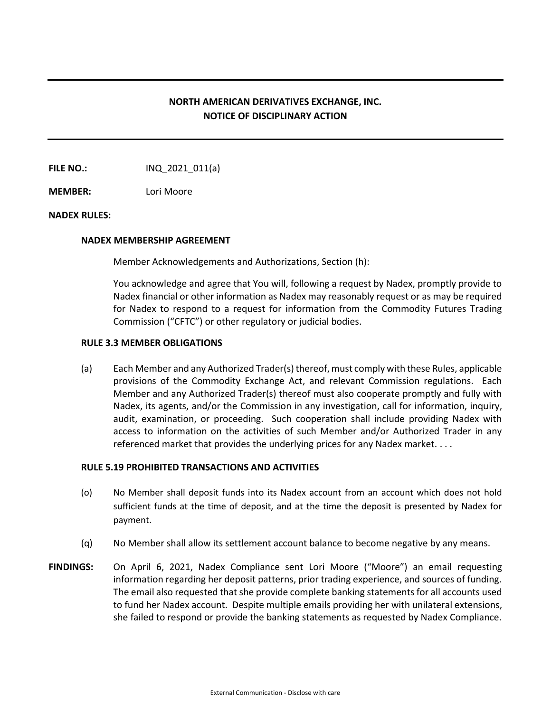# **NORTH AMERICAN DERIVATIVES EXCHANGE, INC. NOTICE OF DISCIPLINARY ACTION**

**FILE NO.:** INQ 2021 011(a)

**MEMBER:** Lori Moore

## **NADEX RULES:**

#### **NADEX MEMBERSHIP AGREEMENT**

Member Acknowledgements and Authorizations, Section (h):

You acknowledge and agree that You will, following a request by Nadex, promptly provide to Nadex financial or other information as Nadex may reasonably request or as may be required for Nadex to respond to a request for information from the Commodity Futures Trading Commission ("CFTC") or other regulatory or judicial bodies.

### **RULE 3.3 MEMBER OBLIGATIONS**

(a) Each Member and any Authorized Trader(s) thereof, must comply with these Rules, applicable provisions of the Commodity Exchange Act, and relevant Commission regulations. Each Member and any Authorized Trader(s) thereof must also cooperate promptly and fully with Nadex, its agents, and/or the Commission in any investigation, call for information, inquiry, audit, examination, or proceeding. Such cooperation shall include providing Nadex with access to information on the activities of such Member and/or Authorized Trader in any referenced market that provides the underlying prices for any Nadex market. . . .

## **RULE 5.19 PROHIBITED TRANSACTIONS AND ACTIVITIES**

- (o) No Member shall deposit funds into its Nadex account from an account which does not hold sufficient funds at the time of deposit, and at the time the deposit is presented by Nadex for payment.
- (q) No Member shall allow its settlement account balance to become negative by any means.
- **FINDINGS:** On April 6, 2021, Nadex Compliance sent Lori Moore ("Moore") an email requesting information regarding her deposit patterns, prior trading experience, and sources of funding. The email also requested that she provide complete banking statements for all accounts used to fund her Nadex account. Despite multiple emails providing her with unilateral extensions, she failed to respond or provide the banking statements as requested by Nadex Compliance.